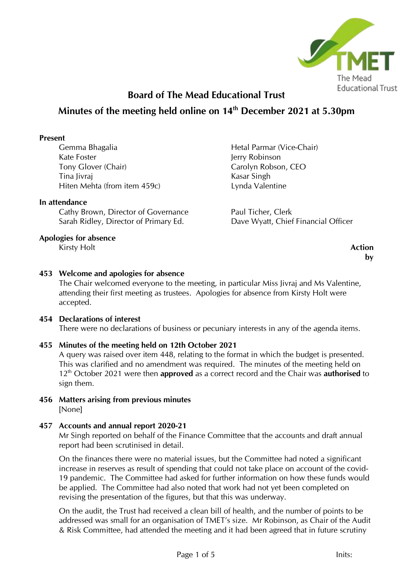

# **Board of The Mead Educational Trust Minutes of the meeting held online on 14 th December 2021 at 5.30pm**

#### **Present**

Gemma Bhagalia Kate Foster Tony Glover (Chair) Tina Jivraj Hiten Mehta (from item 459c)

#### **In attendance**

Cathy Brown, Director of Governance Sarah Ridley, Director of Primary Ed.

## **Apologies for absence**

**Kirsty Holt Action** 

Hetal Parmar (Vice-Chair) Jerry Robinson Carolyn Robson, CEO Kasar Singh Lynda Valentine

Paul Ticher, Clerk Dave Wyatt, Chief Financial Officer

**by**

# **453 Welcome and apologies for absence**

The Chair welcomed everyone to the meeting, in particular Miss Jivraj and Ms Valentine, attending their first meeting as trustees. Apologies for absence from Kirsty Holt were accepted.

## **454 Declarations of interest**

There were no declarations of business or pecuniary interests in any of the agenda items.

## **455 Minutes of the meeting held on 12th October 2021**

A query was raised over item 448, relating to the format in which the budget is presented. This was clarified and no amendment was required. The minutes of the meeting held on 12th October 2021 were then **approved** as a correct record and the Chair was **authorised** to sign them.

**456 Matters arising from previous minutes** [None]

## **457 Accounts and annual report 2020-21**

Mr Singh reported on behalf of the Finance Committee that the accounts and draft annual report had been scrutinised in detail.

On the finances there were no material issues, but the Committee had noted a significant increase in reserves as result of spending that could not take place on account of the covid-19 pandemic. The Committee had asked for further information on how these funds would be applied. The Committee had also noted that work had not yet been completed on revising the presentation of the figures, but that this was underway.

On the audit, the Trust had received a clean bill of health, and the number of points to be addressed was small for an organisation of TMET's size. Mr Robinson, as Chair of the Audit & Risk Committee, had attended the meeting and it had been agreed that in future scrutiny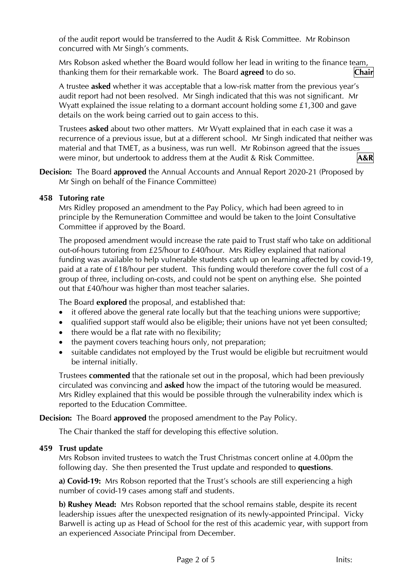of the audit report would be transferred to the Audit & Risk Committee. Mr Robinson concurred with Mr Singh's comments.

Mrs Robson asked whether the Board would follow her lead in writing to the finance team, thanking them for their remarkable work. The Board **agreed** to do so. **Chair**

A trustee **asked** whether it was acceptable that a low-risk matter from the previous year's audit report had not been resolved. Mr Singh indicated that this was not significant. Mr Wyatt explained the issue relating to a dormant account holding some £1,300 and gave details on the work being carried out to gain access to this.

Trustees **asked** about two other matters. Mr Wyatt explained that in each case it was a recurrence of a previous issue, but at a different school. Mr Singh indicated that neither was material and that TMET, as a business, was run well. Mr Robinson agreed that the issues were minor, but undertook to address them at the Audit & Risk Committee. **A&R**

**Decision:** The Board **approved** the Annual Accounts and Annual Report 2020-21 (Proposed by Mr Singh on behalf of the Finance Committee)

## **458 Tutoring rate**

Mrs Ridley proposed an amendment to the Pay Policy, which had been agreed to in principle by the Remuneration Committee and would be taken to the Joint Consultative Committee if approved by the Board.

The proposed amendment would increase the rate paid to Trust staff who take on additional out-of-hours tutoring from £25/hour to £40/hour. Mrs Ridley explained that national funding was available to help vulnerable students catch up on learning affected by covid-19, paid at a rate of £18/hour per student. This funding would therefore cover the full cost of a group of three, including on-costs, and could not be spent on anything else. She pointed out that £40/hour was higher than most teacher salaries.

The Board **explored** the proposal, and established that:

- it offered above the general rate locally but that the teaching unions were supportive;
- qualified support staff would also be eligible; their unions have not yet been consulted;
- there would be a flat rate with no flexibility;
- the payment covers teaching hours only, not preparation;
- suitable candidates not employed by the Trust would be eligible but recruitment would be internal initially.

Trustees **commented** that the rationale set out in the proposal, which had been previously circulated was convincing and **asked** how the impact of the tutoring would be measured. Mrs Ridley explained that this would be possible through the vulnerability index which is reported to the Education Committee.

#### **Decision:** The Board **approved** the proposed amendment to the Pay Policy.

The Chair thanked the staff for developing this effective solution.

#### **459 Trust update**

Mrs Robson invited trustees to watch the Trust Christmas concert online at 4.00pm the following day. She then presented the Trust update and responded to **questions**.

**a) Covid-19:** Mrs Robson reported that the Trust's schools are still experiencing a high number of covid-19 cases among staff and students.

**b) Rushey Mead:** Mrs Robson reported that the school remains stable, despite its recent leadership issues after the unexpected resignation of its newly-appointed Principal. Vicky Barwell is acting up as Head of School for the rest of this academic year, with support from an experienced Associate Principal from December.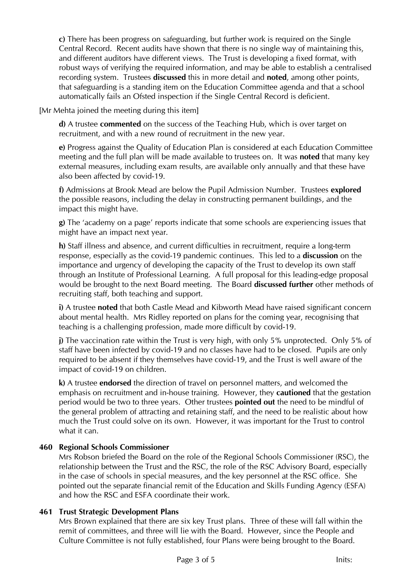**c)** There has been progress on safeguarding, but further work is required on the Single Central Record. Recent audits have shown that there is no single way of maintaining this, and different auditors have different views. The Trust is developing a fixed format, with robust ways of verifying the required information, and may be able to establish a centralised recording system. Trustees **discussed** this in more detail and **noted**, among other points, that safeguarding is a standing item on the Education Committee agenda and that a school automatically fails an Ofsted inspection if the Single Central Record is deficient.

[Mr Mehta joined the meeting during this item]

**d)** A trustee **commented** on the success of the Teaching Hub, which is over target on recruitment, and with a new round of recruitment in the new year.

**e)** Progress against the Quality of Education Plan is considered at each Education Committee meeting and the full plan will be made available to trustees on. It was **noted** that many key external measures, including exam results, are available only annually and that these have also been affected by covid-19.

**f)** Admissions at Brook Mead are below the Pupil Admission Number. Trustees **explored** the possible reasons, including the delay in constructing permanent buildings, and the impact this might have.

**g)** The 'academy on a page' reports indicate that some schools are experiencing issues that might have an impact next year.

**h)** Staff illness and absence, and current difficulties in recruitment, require a long-term response, especially as the covid-19 pandemic continues. This led to a **discussion** on the importance and urgency of developing the capacity of the Trust to develop its own staff through an Institute of Professional Learning. A full proposal for this leading-edge proposal would be brought to the next Board meeting. The Board **discussed further** other methods of recruiting staff, both teaching and support.

**i)** A trustee **noted** that both Castle Mead and Kibworth Mead have raised significant concern about mental health. Mrs Ridley reported on plans for the coming year, recognising that teaching is a challenging profession, made more difficult by covid-19.

**j)** The vaccination rate within the Trust is very high, with only 5% unprotected. Only 5% of staff have been infected by covid-19 and no classes have had to be closed. Pupils are only required to be absent if they themselves have covid-19, and the Trust is well aware of the impact of covid-19 on children.

**k)** A trustee **endorsed** the direction of travel on personnel matters, and welcomed the emphasis on recruitment and in-house training. However, they **cautioned** that the gestation period would be two to three years. Other trustees **pointed out** the need to be mindful of the general problem of attracting and retaining staff, and the need to be realistic about how much the Trust could solve on its own. However, it was important for the Trust to control what it can.

## **460 Regional Schools Commissioner**

Mrs Robson briefed the Board on the role of the Regional Schools Commissioner (RSC), the relationship between the Trust and the RSC, the role of the RSC Advisory Board, especially in the case of schools in special measures, and the key personnel at the RSC office. She pointed out the separate financial remit of the Education and Skills Funding Agency (ESFA) and how the RSC and ESFA coordinate their work.

#### **461 Trust Strategic Development Plans**

Mrs Brown explained that there are six key Trust plans. Three of these will fall within the remit of committees, and three will lie with the Board. However, since the People and Culture Committee is not fully established, four Plans were being brought to the Board.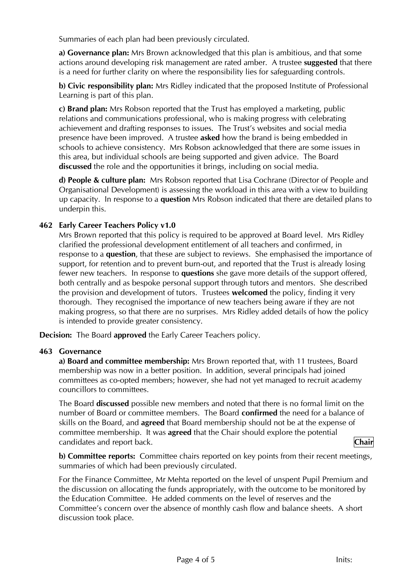Summaries of each plan had been previously circulated.

**a) Governance plan:** Mrs Brown acknowledged that this plan is ambitious, and that some actions around developing risk management are rated amber. A trustee **suggested** that there is a need for further clarity on where the responsibility lies for safeguarding controls.

**b) Civic responsibility plan:** Mrs Ridley indicated that the proposed Institute of Professional Learning is part of this plan.

**c) Brand plan:** Mrs Robson reported that the Trust has employed a marketing, public relations and communications professional, who is making progress with celebrating achievement and drafting responses to issues. The Trust's websites and social media presence have been improved. A trustee **asked** how the brand is being embedded in schools to achieve consistency. Mrs Robson acknowledged that there are some issues in this area, but individual schools are being supported and given advice. The Board **discussed** the role and the opportunities it brings, including on social media.

**d) People & culture plan:** Mrs Robson reported that Lisa Cochrane (Director of People and Organisational Development) is assessing the workload in this area with a view to building up capacity. In response to a **question** Mrs Robson indicated that there are detailed plans to underpin this.

#### **462 Early Career Teachers Policy v1.0**

Mrs Brown reported that this policy is required to be approved at Board level. Mrs Ridley clarified the professional development entitlement of all teachers and confirmed, in response to a **question**, that these are subject to reviews. She emphasised the importance of support, for retention and to prevent burn-out, and reported that the Trust is already losing fewer new teachers. In response to **questions** she gave more details of the support offered, both centrally and as bespoke personal support through tutors and mentors. She described the provision and development of tutors. Trustees **welcomed** the policy, finding it very thorough. They recognised the importance of new teachers being aware if they are not making progress, so that there are no surprises. Mrs Ridley added details of how the policy is intended to provide greater consistency.

**Decision:** The Board **approved** the Early Career Teachers policy.

#### **463 Governance**

**a) Board and committee membership:** Mrs Brown reported that, with 11 trustees, Board membership was now in a better position. In addition, several principals had joined committees as co-opted members; however, she had not yet managed to recruit academy councillors to committees.

The Board **discussed** possible new members and noted that there is no formal limit on the number of Board or committee members. The Board **confirmed** the need for a balance of skills on the Board, and **agreed** that Board membership should not be at the expense of committee membership. It was **agreed** that the Chair should explore the potential candidates and report back. **Chair**

**b) Committee reports:** Committee chairs reported on key points from their recent meetings, summaries of which had been previously circulated.

For the Finance Committee, Mr Mehta reported on the level of unspent Pupil Premium and the discussion on allocating the funds appropriately, with the outcome to be monitored by the Education Committee. He added comments on the level of reserves and the Committee's concern over the absence of monthly cash flow and balance sheets. A short discussion took place.